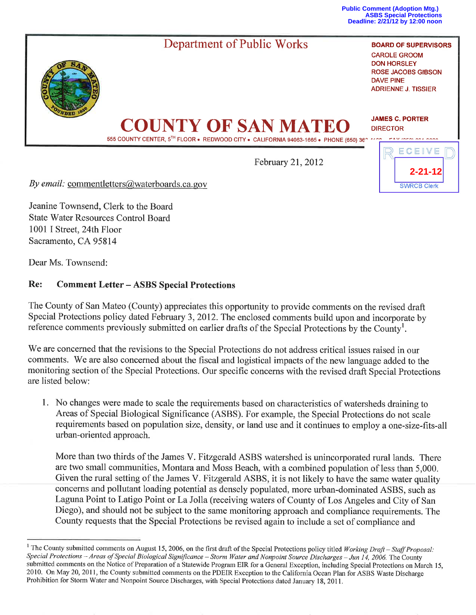**Public Comment (Adoption Mtg.) ASBS Special Protections Deadline: 2/21/12 by 12:00 noon**

**2-21-12**

**SWRCB Clerk** 



February 21,2012

By email: commentletters@waterboards.ca.gov

Jeanine Townsend, Clerk to the Board State Water Resources Control Board 1001 I Street, 24th Floor Sacramento, CA 95814

Dear Ms. Townsend:

## Re: Comment Letter - ASBS Special Protections

The County of San Mateo (County) appreciates this opportunity to provide comments on the revised draft Special Protections policy dated February 3,2012. The enclosed comments build upon and incorporate bv reference comments previously submitted on earlier drafts of the Special Protections by the County<sup>1</sup>.

We are concerned that the revisions to the Special Protections do not address critical issues raised in our comments. We are also concerned about the fiscal and logistical impacts of the new language added to the monitoring section of the Special Protections. Our specific concerns with the revised draft Special Protections are listed below:

1. No changes were made to scale the requirements based on characteristics of watersheds draining to Areas of Special Biological Significance (ASBS). For example, the Special Protections do not scale requirements based on population size, density, or land use and it continues to employ a one-size-fits-all urban-oriented approach.

More than two thirds of the James V. Fitzgerald ASBS watershed is unincorporated rural lands. There are two small communities, Montara and Moss Beach, with a combined population of less than 5,000. Given the rural setting of the James V. Fitzgerald ASBS, it is not likely to have the same water quality concerns and pollutant loading potential as densely populated, more urban-dominated ASBS, such as Laguna Point to Latigo Point or La Jolla (receiving waters of County of Los Angeles and City of San Diego), and should not be subject to the same monitoring approach and compliance requirements. The County requests that the Special Protections be revised again to include a set of compliance and

<sup>&</sup>lt;sup>1</sup> The County submitted comments on August 15, 2006, on the first draft of the Special Protections policy titled Working Draft – Staff Proposal: Special Protections - Areas of Special Biological Significance - Storm Water and Nonpoint Source Discharges - Jun 14, 2006. The County submitted comments on the Notice of Preparation of a Statewide Program EIR for a General Exception, including Special Protections on March 15, 2010. On May 20,201l, the County submitted comments on the PDEIR Exception to the California Ocean Plan for ASBS Waste Discharge Prohibition for Storm Water and Nonpoint Source Discharges, with Special Protections dated January 18, 2011.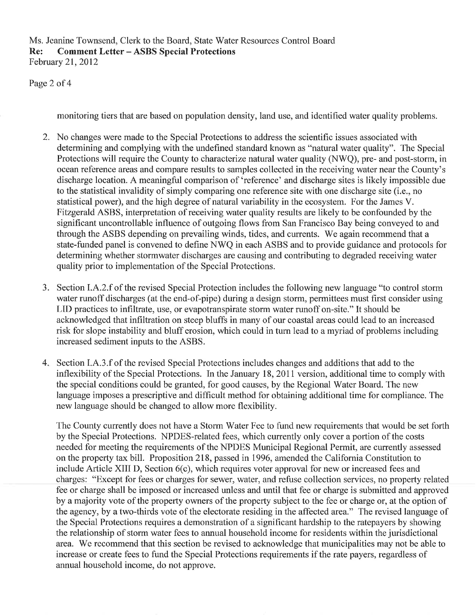Ms. Jeanine Townsend, Clerk to the Board, State Water Resources Control Board Re: Comment Letter - ASBS Special Protections February 21,2012

Page 2 of 4

monitoring tiers that are based on population density, land use, and identified water quality problems.

- 2. No changes were made to the Special Protections to address the scientific issues associated with determining and complying with the undefined standard known as "natural water quality". The Special Protections will require the County to characterize natural water quality (NWO), pre- and post-storm, in ocean reference areas and compare results to samples collected in the receiving water near the County's discharge location. A meaningful comparison of 'reference' and discharge sites is likely impossible due to the statistical invalidity of simply comparing one reference site with one discharge site (i.e., no statistical power), and the high degree of natural variability in the ecosystem. For the James V. Fifzgerald ASBS, interpretation of receiving water quality results are likely to be confounded by the significant uncontrollable influence of outgoing flows from San Francisco Bay being conveyed to and through the ASBS depending on prevailing winds, tides, and currents. We again recommend that a state-funded panel is convened to define NWQ in each ASBS and to provide guidance and protocols for determining whether stormwater discharges are causing and contributing to degraded receiving water quality prior to implementation of the Special Protections.
- 3. Section I.A.2.f of the revised Special Protection includes the following new language "to control storm water runoff discharges (at the end-of-pipe) during a design storm, permittees must first consider using LID practices to infiltrate, use, or evapotranspirate storm water runoff on-site." It should be acknowledged that inflrltration on steep bluffs in many of our coastal areas could lead to an increased risk for slope instability and bluff erosion, which could in turn lead to a myriad of problems including increased sediment inputs to the ASBS.
- 4. Section I.A.3.f of the revised Special Protections includes changes and additions that add to the inflexibility of the Special Protections. In the January 18,2011 version, additional time to comply with the special conditions could be granted, for good causes, by the Regional Water Board. The new language imposes a prescriptive and difficult method for obtaining additional time for compliance. The new language should be changed to allow more flexibility.

The County currently does not have a Storm Water Fee to fund new requirements that would be set forth by the Special Protections. NPDES-related fees, which currently only cover a portion of the costs needed for meeting the requirements of the NPDES Municipal Regional Permit, are currently assessed on the property tax bill. Proposition 218, passed in 1996, amended the California Constitution to include Article XIII D, Section 6(c), which requires voter approval for new or increased fees and charges: "Except for fees or charges for sewer, water, and refuse collection services, no property related fee or charge shall be imposed or increased unless and until that fee or charge is submitted and approved by a majority vote of the property owners of the property subject to the fee or charge or, at the option of the agency, by a two-thirds vote of the electorate residing in the affected area." The revised language of the Special Protections requires a demonstration of a significant hardship to the ratepayers by showing the relationship of storm water fees to annual household income for residents within the jurisdictional area. We recommend that this section be revised to acknowledge that municipalities may not be able to increase or create fees to fund the Special Protections requirements if the rate payers, regardless of annual household income, do not approve.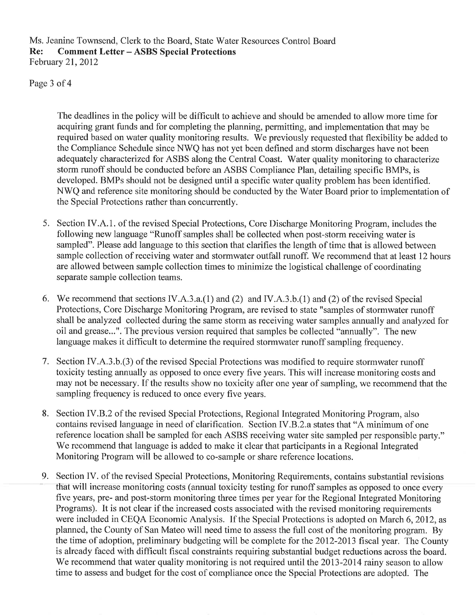Ms. Jeanine Townsend, Clerk to the Board, State Water Resources Control Board Re: Comment Letter - ASBS Special Protections February 21,2012

Page 3 of 4

The deadlines in the policy will be diffrcult to achieve and should be amended to allow more time for acquiring grant funds and for completing the planning, permitting, and implementation that may be required based on water quality monitoring results. We previously requested that flexibility be added to the Compliance Schedule since NWQ has not yet been defined and storm discharges have not been adequately characterized for ASBS along the Central Coast. Water quality monitoring to characterize storm runoff should be conducted before an ASBS Compliance Plan, detailing specific BMPs, is developed. BMPs should not be designed until a specific water quality problem has been identified. NWQ and reference site monitoring should be conducted by the Water Board prior to implementation of the Special Protections rather than concurrently.

- 5. Section IV.A.1. of the revised Special Protections, Core Discharge Monitoring Program, includes the following new language "Runoff samples shall be collected when post-storm receiving water is sampled". Please add language to this section that clarifies the length of time that is allowed between sample collection of receiving water and stormwater outfall runoff. We recommend that at least 12 hours are allowed between sample collection times to minimize the logistical challenge of coordinating separate sample collection teams.
- 6. We recommend that sections IV.A.3.a.(1) and (2) and IV.A.3.b.(1) and (2) of the revised Special Protections, Core Discharge Monitoring Program, are revised to state "samples of stormwater runoff shall be analyzed collected during the same storm as receiving water samples annually and analyzed for oil and grease...". The previous version required that samples be collected "annually". The new language makes it difficult to determine the required stormwater runoff sampling frequency.
- 7. Section IV.A.3.b.(3) of the revised Special Protections was modified to require stormwater runoff toxicity testing annually as opposed to once every five years. This will increase monitoring costs and may not be necessary. If the results show no toxicity after one year of sampling, we recommend that the sampling frequency is reduced to once every five years.
- 8. Section IV.B.2 of the revised Special Protections, Regional Integrated Monitoring Program, also contains revised language in need of clarification. Section IV.B.2.a states that "A minimum of one reference location shall be sampled for each ASBS receiving water site sampled per responsible party." We recommend that language is added to make it clear that participants in a Regional Integrated Monitoring Program will be allowed to co-sample or share reference locations.
- 9. Section IV. of the revised Special Protections, Monitoring Requirements, contains substantial revisions that will increase monitoring costs (annual toxicity testing for runoff samples as opposed to once every five years, pre- and post-storm monitoring three times per year for the Regional Integrated Monitoring Programs). It is not clear if the increased costs associated with the revised monitoring requirements were included in CEQA Economic Analysis. If the Special Protections is adopted on March 6,2012, as planned, the County of San Mateo will need time to assess the full cost of the monitoring program. By the time of adoption, preliminary budgeting will be complete for the 2012-2013 fiscal year. The County is already faced with difficult fiscal constraints requiring substantial budget reductions across the board. We recommend that water quality monitoring is not required until the 2013-2014 rainy season to allow time to assess and budget for the cost of compliance once the Special Protections are adopted. The